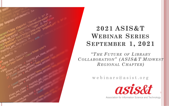

### **2021 ASIS&T WEBINAR SERIES SEPTEMBER 1, 2021**

*"T HE F UTURE OF LIBRARY C OLLABORATION" ( ASIS&T MIDWEST REGIONAL C HAPTER)*

webinars@asist.org



Association for Information Science and Technology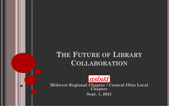## **THE FUTURE OF LIBRARY COLLABORATION**



**Midwest Regional Chapter / Central Ohio Local Chapter Sept. 1, 2021**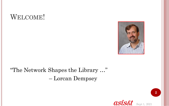## WELCOME!



#### "The Network Shapes the Library …" – Lorcan Dempsey

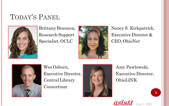# TODAY'S PANEL



Specialist, OCLC CEO, OhioNet



Brittany Brannon, Nancy S. Kirkpatrick, Research Support Executive Director &



Wes Osborn,  $\blacksquare$  Amy Pawlowski, Central Library | **ACTION** Consortium



Executive Director, Executive Director,



**3**

Sept 1, 2021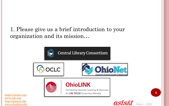1. Please give us a brief introduction to your organization and its mission…



<https://clcohio.org/> [www.oclc.org/](http://www.oclc.org/) [http://ohionet.org/](http://www.ohiolink.edu/) [www.ohiolink.edu/](http://www.ohiolink.edu/)

Sept 1, 2021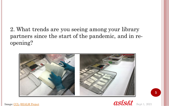2. What trends are you seeing among your library partners since the start of the pandemic, and in reopening?





Image: [CCL,](https://creativecommons.org/licenses/by-nc-sa/4.0/) [REALM Project](https://www.oclc.org/realm/home.html)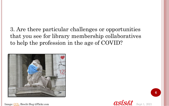3. Are there particular challenges or opportunities that you see for library membership collaboratives to help the profession in the age of COVID?



Image: [CCL,](https://creativecommons.org/licenses/by-nc-nd/2.0/) Brecht Bug @Flickr.com

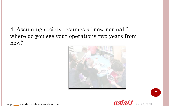4. Assuming society resumes a "new normal," where do you see your operations two years from now?





Sept 1, 2021

**7**

Image: [CCL,](https://creativecommons.org/licenses/by-nc-nd/2.0/) Cockburn Libraries @Flickr.com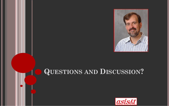

# **QUESTIONS AND DISCUSSION?**